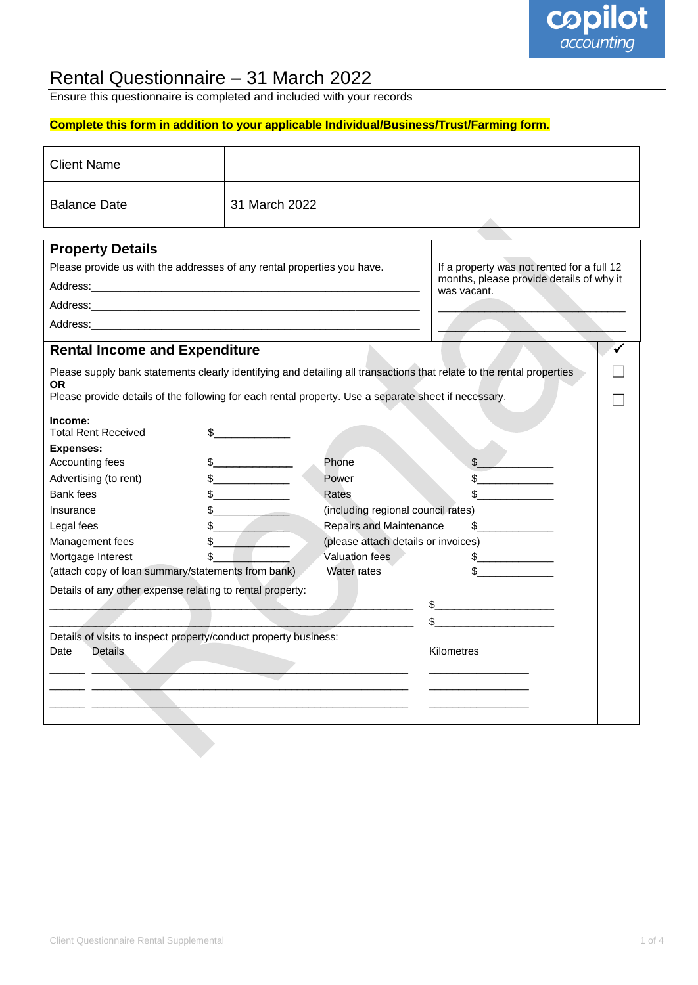

### Rental Questionnaire – 31 March 2022

Ensure this questionnaire is completed and included with your records

#### **Complete this form in addition to your applicable Individual/Business/Trust/Farming form.**

| <b>Client Name</b>                                                                                                    |                    |                                                                                                       |              |  |
|-----------------------------------------------------------------------------------------------------------------------|--------------------|-------------------------------------------------------------------------------------------------------|--------------|--|
| <b>Balance Date</b>                                                                                                   | 31 March 2022      |                                                                                                       |              |  |
|                                                                                                                       |                    |                                                                                                       |              |  |
| <b>Property Details</b>                                                                                               |                    |                                                                                                       |              |  |
| Please provide us with the addresses of any rental properties you have.                                               |                    | If a property was not rented for a full 12<br>months, please provide details of why it<br>was vacant. |              |  |
|                                                                                                                       |                    |                                                                                                       |              |  |
| Address: Address: Address: Address: Address: Address: Address: Address: Address: Address: Address: A                  |                    |                                                                                                       |              |  |
|                                                                                                                       |                    |                                                                                                       |              |  |
|                                                                                                                       |                    |                                                                                                       |              |  |
| <b>Rental Income and Expenditure</b>                                                                                  |                    |                                                                                                       |              |  |
| Please supply bank statements clearly identifying and detailing all transactions that relate to the rental properties |                    |                                                                                                       |              |  |
| ΟR<br>Please provide details of the following for each rental property. Use a separate sheet if necessary.            |                    |                                                                                                       |              |  |
|                                                                                                                       |                    |                                                                                                       |              |  |
| Income:<br><b>Total Rent Received</b><br>\$                                                                           |                    |                                                                                                       |              |  |
| <b>Expenses:</b>                                                                                                      |                    |                                                                                                       |              |  |
| Accounting fees                                                                                                       |                    | Phone                                                                                                 | \$           |  |
| Advertising (to rent)                                                                                                 | $\sim$ $\sim$      | Power                                                                                                 |              |  |
| Bank fees                                                                                                             | $s$ ______________ | Rates                                                                                                 |              |  |
| Insurance                                                                                                             |                    | (including regional council rates)                                                                    |              |  |
| Legal fees                                                                                                            |                    | Repairs and Maintenance                                                                               | \$           |  |
| Management fees                                                                                                       |                    | (please attach details or invoices)                                                                   |              |  |
| Mortgage Interest                                                                                                     |                    | Valuation fees                                                                                        |              |  |
| (attach copy of loan summary/statements from bank)                                                                    |                    | Water rates                                                                                           |              |  |
| Details of any other expense relating to rental property:                                                             |                    |                                                                                                       |              |  |
|                                                                                                                       |                    |                                                                                                       | $\mathbb{S}$ |  |
|                                                                                                                       |                    |                                                                                                       |              |  |
| Details of visits to inspect property/conduct property business:                                                      |                    |                                                                                                       |              |  |
| Date<br><b>Details</b>                                                                                                |                    |                                                                                                       | Kilometres   |  |
|                                                                                                                       |                    |                                                                                                       |              |  |
|                                                                                                                       |                    |                                                                                                       |              |  |
|                                                                                                                       |                    |                                                                                                       |              |  |
|                                                                                                                       |                    |                                                                                                       |              |  |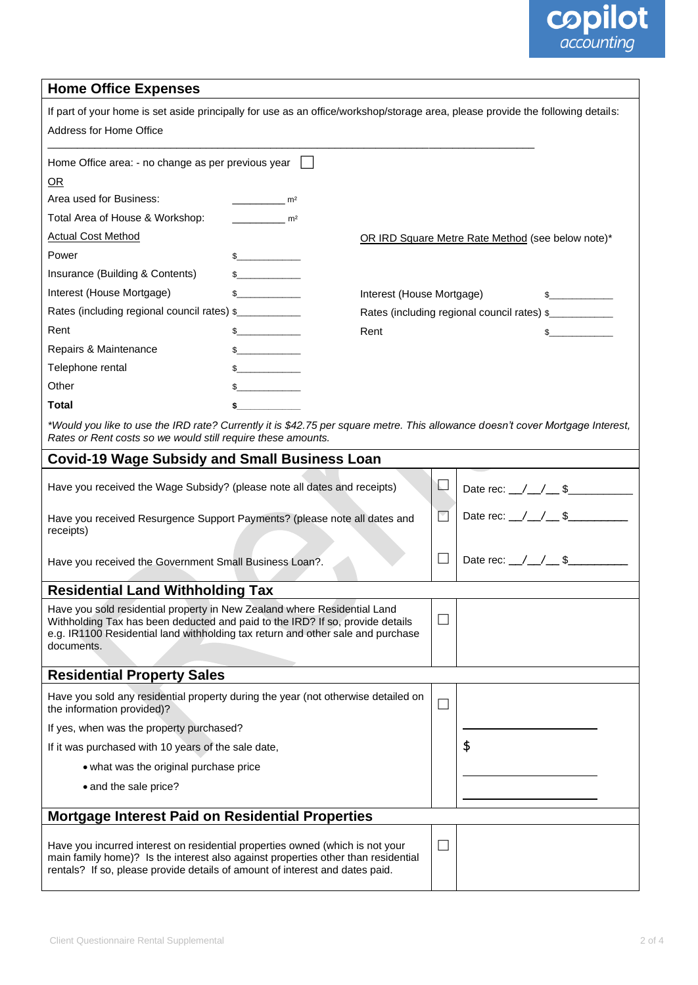### **copilot**<br>accounting

#### **Home Office Expenses**

| If part of your home is set aside principally for use as an office/workshop/storage area, please provide the following details:<br>Address for Home Office                                                                                                 |                       |                                            |                          |                                                   |  |  |
|------------------------------------------------------------------------------------------------------------------------------------------------------------------------------------------------------------------------------------------------------------|-----------------------|--------------------------------------------|--------------------------|---------------------------------------------------|--|--|
| Home Office area: - no change as per previous year                                                                                                                                                                                                         |                       |                                            |                          |                                                   |  |  |
| OR                                                                                                                                                                                                                                                         |                       |                                            |                          |                                                   |  |  |
| Area used for Business:                                                                                                                                                                                                                                    | $\sim$ m <sup>2</sup> |                                            |                          |                                                   |  |  |
| Total Area of House & Workshop:                                                                                                                                                                                                                            | m <sup>2</sup>        |                                            |                          |                                                   |  |  |
| <b>Actual Cost Method</b>                                                                                                                                                                                                                                  |                       |                                            |                          | OR IRD Square Metre Rate Method (see below note)* |  |  |
| Power                                                                                                                                                                                                                                                      |                       |                                            |                          |                                                   |  |  |
| Insurance (Building & Contents)                                                                                                                                                                                                                            | $\frac{1}{2}$         |                                            |                          |                                                   |  |  |
| Interest (House Mortgage)                                                                                                                                                                                                                                  |                       | Interest (House Mortgage)<br>$\frac{1}{2}$ |                          |                                                   |  |  |
| Rates (including regional council rates) \$                                                                                                                                                                                                                |                       |                                            |                          | Rates (including regional council rates) \$       |  |  |
| Rent                                                                                                                                                                                                                                                       | $\frac{1}{2}$         | Rent                                       |                          | \$                                                |  |  |
| Repairs & Maintenance                                                                                                                                                                                                                                      | $\sim$                |                                            |                          |                                                   |  |  |
| Telephone rental                                                                                                                                                                                                                                           |                       |                                            |                          |                                                   |  |  |
| Other                                                                                                                                                                                                                                                      |                       |                                            |                          |                                                   |  |  |
| <b>Total</b>                                                                                                                                                                                                                                               |                       |                                            |                          |                                                   |  |  |
| *Would you like to use the IRD rate? Currently it is \$42.75 per square metre. This allowance doesn't cover Mortgage Interest,<br>Rates or Rent costs so we would still require these amounts.                                                             |                       |                                            |                          |                                                   |  |  |
| <b>Covid-19 Wage Subsidy and Small Business Loan</b>                                                                                                                                                                                                       |                       |                                            |                          |                                                   |  |  |
| Have you received the Wage Subsidy? (please note all dates and receipts)                                                                                                                                                                                   |                       |                                            | $\overline{\phantom{a}}$ | Date rec: $\_\/\_\/\_\$ \                         |  |  |
| Have you received Resurgence Support Payments? (please note all dates and<br>receipts)                                                                                                                                                                     |                       |                                            | Σ                        | Date rec: $\_\/\_\/\_\$ \                         |  |  |
| Have you received the Government Small Business Loan?.                                                                                                                                                                                                     |                       |                                            | $\sim$                   | Date rec: $\_\/\_\/\_\$ \$                        |  |  |
| <b>Residential Land Withholding Tax</b>                                                                                                                                                                                                                    |                       |                                            |                          |                                                   |  |  |
| Have you sold residential property in New Zealand where Residential Land<br>Withholding Tax has been deducted and paid to the IRD? If so, provide details<br>e.g. IR1100 Residential land withholding tax return and other sale and purchase<br>documents. |                       |                                            | $\Box$                   |                                                   |  |  |
| <b>Residential Property Sales</b>                                                                                                                                                                                                                          |                       |                                            |                          |                                                   |  |  |
| Have you sold any residential property during the year (not otherwise detailed on<br>the information provided)?                                                                                                                                            |                       |                                            | $\overline{\phantom{a}}$ |                                                   |  |  |
| If yes, when was the property purchased?                                                                                                                                                                                                                   |                       |                                            |                          |                                                   |  |  |
| If it was purchased with 10 years of the sale date,                                                                                                                                                                                                        |                       |                                            | \$                       |                                                   |  |  |
| • what was the original purchase price                                                                                                                                                                                                                     |                       |                                            |                          |                                                   |  |  |
| • and the sale price?                                                                                                                                                                                                                                      |                       |                                            |                          |                                                   |  |  |
|                                                                                                                                                                                                                                                            |                       |                                            |                          |                                                   |  |  |
| <b>Mortgage Interest Paid on Residential Properties</b>                                                                                                                                                                                                    |                       |                                            |                          |                                                   |  |  |
| Have you incurred interest on residential properties owned (which is not your<br>main family home)? Is the interest also against properties other than residential<br>rentals? If so, please provide details of amount of interest and dates paid.         |                       | ×.                                         |                          |                                                   |  |  |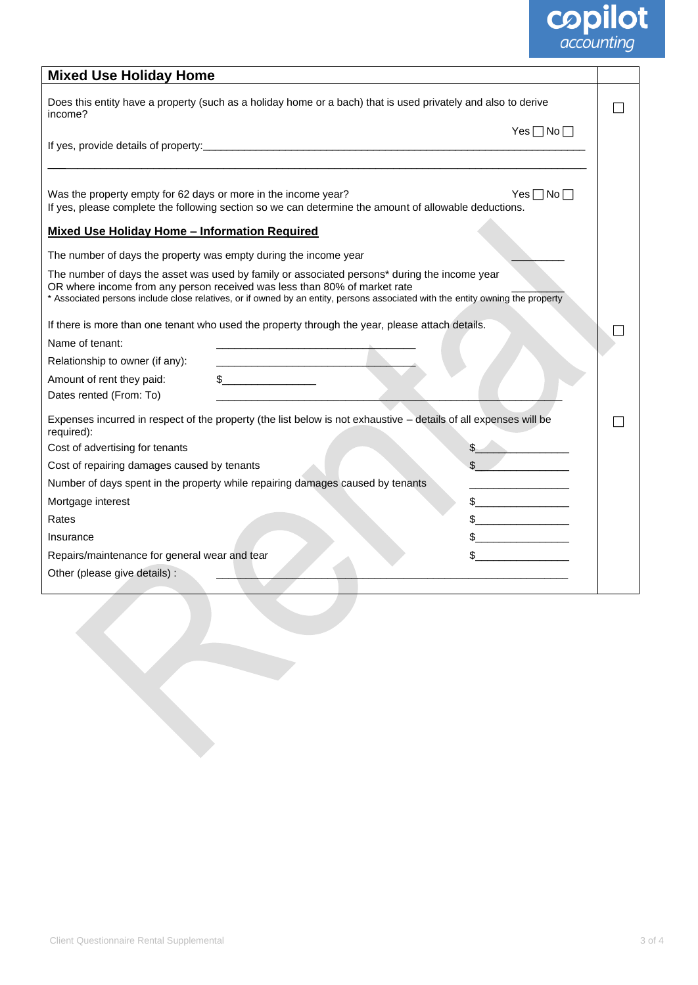## **copilot**<br>*accounting*

| <b>Mixed Use Holiday Home</b>                                                                                                                                                                                                                                                                                |                      |  |  |  |
|--------------------------------------------------------------------------------------------------------------------------------------------------------------------------------------------------------------------------------------------------------------------------------------------------------------|----------------------|--|--|--|
| Does this entity have a property (such as a holiday home or a bach) that is used privately and also to derive<br>income?                                                                                                                                                                                     |                      |  |  |  |
|                                                                                                                                                                                                                                                                                                              | Yes $\Box$ No $\Box$ |  |  |  |
|                                                                                                                                                                                                                                                                                                              |                      |  |  |  |
| Was the property empty for 62 days or more in the income year?<br>Yes $\Box$ No $\Box$<br>If yes, please complete the following section so we can determine the amount of allowable deductions.                                                                                                              |                      |  |  |  |
| <b>Mixed Use Holiday Home - Information Required</b>                                                                                                                                                                                                                                                         |                      |  |  |  |
| The number of days the property was empty during the income year                                                                                                                                                                                                                                             |                      |  |  |  |
| The number of days the asset was used by family or associated persons* during the income year<br>OR where income from any person received was less than 80% of market rate<br>* Associated persons include close relatives, or if owned by an entity, persons associated with the entity owning the property |                      |  |  |  |
| If there is more than one tenant who used the property through the year, please attach details.                                                                                                                                                                                                              |                      |  |  |  |
| Name of tenant:                                                                                                                                                                                                                                                                                              |                      |  |  |  |
| Relationship to owner (if any):                                                                                                                                                                                                                                                                              |                      |  |  |  |
| $\frac{1}{2}$<br>Amount of rent they paid:                                                                                                                                                                                                                                                                   |                      |  |  |  |
| Dates rented (From: To)                                                                                                                                                                                                                                                                                      |                      |  |  |  |
| Expenses incurred in respect of the property (the list below is not exhaustive - details of all expenses will be<br>required):                                                                                                                                                                               |                      |  |  |  |
| Cost of advertising for tenants                                                                                                                                                                                                                                                                              |                      |  |  |  |
| Cost of repairing damages caused by tenants                                                                                                                                                                                                                                                                  |                      |  |  |  |
| Number of days spent in the property while repairing damages caused by tenants                                                                                                                                                                                                                               |                      |  |  |  |
| Mortgage interest                                                                                                                                                                                                                                                                                            |                      |  |  |  |
| Rates                                                                                                                                                                                                                                                                                                        |                      |  |  |  |
| Insurance                                                                                                                                                                                                                                                                                                    |                      |  |  |  |
| Repairs/maintenance for general wear and tear                                                                                                                                                                                                                                                                |                      |  |  |  |
| Other (please give details) :                                                                                                                                                                                                                                                                                |                      |  |  |  |
|                                                                                                                                                                                                                                                                                                              |                      |  |  |  |